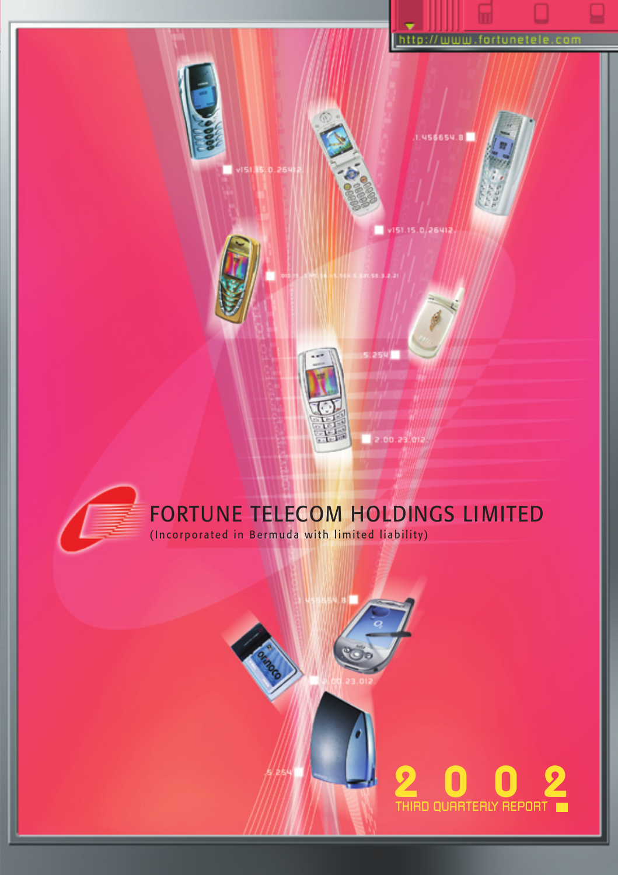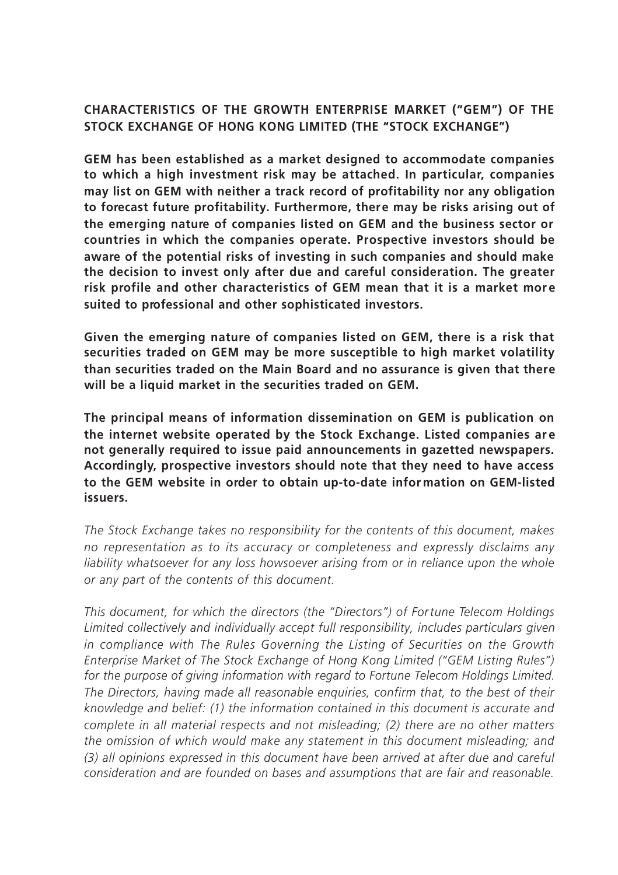# **CHARACTERISTICS OF THE GROWTH ENTERPRISE MARKET ("GEM") OF THE STOCK EXCHANGE OF HONG KONG LIMITED (THE "STOCK EXCHANGE")**

**GEM has been established as a market designed to accommodate companies to which a high investment risk may be attached. In particular, companies may list on GEM with neither a track record of profitability nor any obligation to forecast future profitability. Furthermore, there may be risks arising out of the emerging nature of companies listed on GEM and the business sector or countries in which the companies operate. Prospective investors should be aware of the potential risks of investing in such companies and should make the decision to invest only after due and careful consideration. The greater risk profile and other characteristics of GEM mean that it is a market mor e suited to professional and other sophisticated investors.**

**Given the emerging nature of companies listed on GEM, there is a risk that securities traded on GEM may be more susceptible to high market volatility than securities traded on the Main Board and no assurance is given that there will be a liquid market in the securities traded on GEM.**

**The principal means of information dissemination on GEM is publication on the internet website operated by the Stock Exchange. Listed companies ar e not generally required to issue paid announcements in gazetted newspapers. Accordingly, prospective investors should note that they need to have access to the GEM website in order to obtain up-to-date infor mation on GEM-listed issuers.**

*The Stock Exchange takes no responsibility for the contents of this document, makes no representation as to its accuracy or completeness and expressly disclaims any liability whatsoever for any loss howsoever arising from or in reliance upon the whole or any part of the contents of this document.*

*This document, for which the directors (the "Directors") of Fortune Telecom Holdings Limited collectively and individually accept full responsibility, includes particulars given in compliance with The Rules Governing the Listing of Securities on the Growth Enterprise Market of The Stock Exchange of Hong Kong Limited ("GEM Listing Rules") for the purpose of giving information with regard to Fortune Telecom Holdings Limited. The Directors, having made all reasonable enquiries, confirm that, to the best of their knowledge and belief: (1) the information contained in this document is accurate and complete in all material respects and not misleading; (2) there are no other matters the omission of which would make any statement in this document misleading; and (3) all opinions expressed in this document have been arrived at after due and careful consideration and are founded on bases and assumptions that are fair and reasonable.*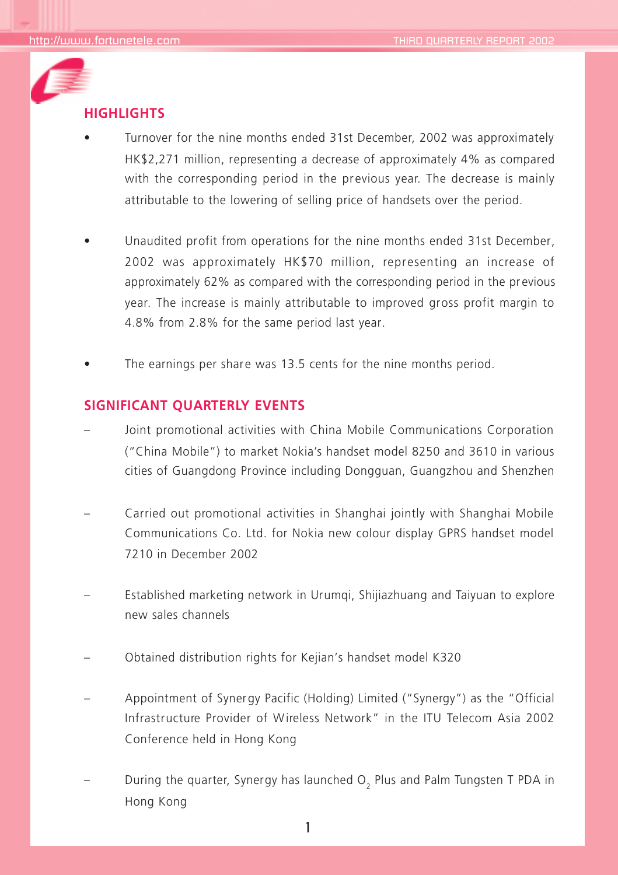

## **HIGHLIGHTS**

- Turnover for the nine months ended 31st December, 2002 was approximately HK\$2,271 million, representing a decrease of approximately 4% as compared with the corresponding period in the previous year. The decrease is mainly attributable to the lowering of selling price of handsets over the period.
- Unaudited profit from operations for the nine months ended 31st December, 2002 was approximately HK\$70 million, representing an increase of approximately 62% as compared with the corresponding period in the previous year. The increase is mainly attributable to improved gross profit margin to 4.8% from 2.8% for the same period last year.
- The earnings per share was 13.5 cents for the nine months period.

## **SIGNIFICANT QUARTERLY EVENTS**

- Joint promotional activities with China Mobile Communications Corporation ("China Mobile") to market Nokia's handset model 8250 and 3610 in various cities of Guangdong Province including Dongguan, Guangzhou and Shenzhen
- Carried out promotional activities in Shanghai jointly with Shanghai Mobile Communications Co. Ltd. for Nokia new colour display GPRS handset model 7210 in December 2002
- Established marketing network in Urumqi, Shijiazhuang and Taiyuan to explore new sales channels
- Obtained distribution rights for Kejian's handset model K320
- Appointment of Synergy Pacific (Holding) Limited ("Synergy") as the "Official Infrastructure Provider of Wireless Network" in the ITU Telecom Asia 2002 Conference held in Hong Kong
- During the quarter, Synergy has launched O<sub>2</sub> Plus and Palm Tungsten T PDA in Hong Kong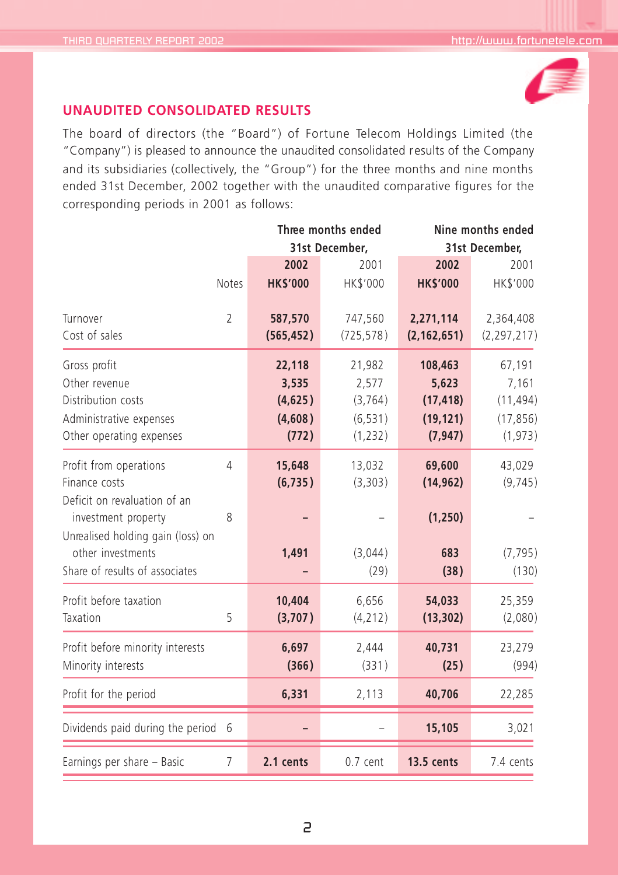

# **UNAUDITED CONSOLIDATED RESULTS**

The board of directors (the "Board") of Fortune Telecom Holdings Limited (the "Company") is pleased to announce the unaudited consolidated results of the Company and its subsidiaries (collectively, the "Group") for the three months and nine months ended 31st December, 2002 together with the unaudited comparative figures for the corresponding periods in 2001 as follows:

|                                                                                                                                                                                            |                     | Three months ended                             | Nine months ended                                   |                                                        |                                                       |
|--------------------------------------------------------------------------------------------------------------------------------------------------------------------------------------------|---------------------|------------------------------------------------|-----------------------------------------------------|--------------------------------------------------------|-------------------------------------------------------|
|                                                                                                                                                                                            |                     |                                                | 31st December,                                      | 31st December.                                         |                                                       |
|                                                                                                                                                                                            |                     | 2002                                           | 2001                                                | 2002                                                   | 2001                                                  |
|                                                                                                                                                                                            | Notes               | <b>HK\$'000</b>                                | HK\$'000                                            | <b>HK\$'000</b>                                        | HK\$'000                                              |
| Turnover<br>Cost of sales                                                                                                                                                                  | $\overline{2}$      | 587,570<br>(565, 452)                          | 747,560<br>(725, 578)                               | 2,271,114<br>(2, 162, 651)                             | 2,364,408<br>(2, 297, 217)                            |
| Gross profit<br>Other revenue<br>Distribution costs<br>Administrative expenses<br>Other operating expenses                                                                                 |                     | 22,118<br>3,535<br>(4,625)<br>(4,608)<br>(772) | 21,982<br>2,577<br>(3, 764)<br>(6, 531)<br>(1, 232) | 108,463<br>5,623<br>(17, 418)<br>(19, 121)<br>(7, 947) | 67,191<br>7,161<br>(11, 494)<br>(17, 856)<br>(1, 973) |
| Profit from operations<br>Finance costs<br>Deficit on revaluation of an<br>investment property<br>Unrealised holding gain (loss) on<br>other investments<br>Share of results of associates | $\overline{4}$<br>8 | 15,648<br>(6, 735)<br>1,491                    | 13,032<br>(3, 303)<br>(3,044)<br>(29)               | 69,600<br>(14, 962)<br>(1, 250)<br>683<br>(38)         | 43,029<br>(9, 745)<br>(7, 795)<br>(130)               |
| Profit before taxation<br>Taxation                                                                                                                                                         | 5                   | 10,404<br>(3,707)                              | 6,656<br>(4, 212)                                   | 54,033<br>(13, 302)                                    | 25,359<br>(2,080)                                     |
| Profit before minority interests<br>Minority interests                                                                                                                                     |                     | 6,697<br>(366)                                 | 2,444<br>(331)                                      | 40,731<br>(25)                                         | 23,279<br>(994)                                       |
| Profit for the period                                                                                                                                                                      |                     | 6,331                                          | 2,113                                               | 40,706                                                 | 22,285                                                |
| Dividends paid during the period 6                                                                                                                                                         |                     |                                                |                                                     | 15,105                                                 | 3,021                                                 |
| Earnings per share - Basic                                                                                                                                                                 | $\overline{7}$      | 2.1 cents                                      | $0.7$ cent                                          | <b>13.5 cents</b>                                      | 7.4 cents                                             |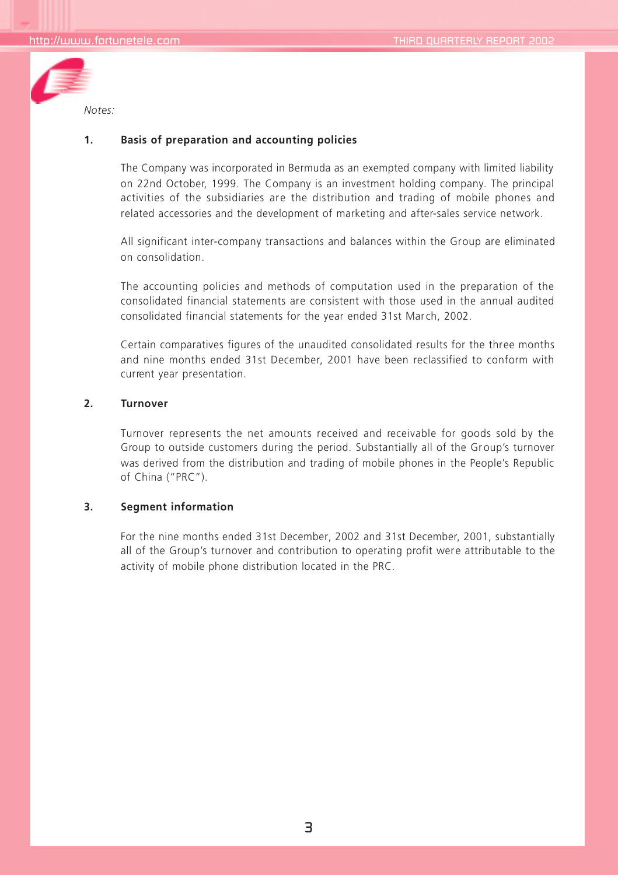

### **1. Basis of preparation and accounting policies**

The Company was incorporated in Bermuda as an exempted company with limited liability on 22nd October, 1999. The Company is an investment holding company. The principal activities of the subsidiaries are the distribution and trading of mobile phones and related accessories and the development of marketing and after-sales service network.

All significant inter-company transactions and balances within the Group are eliminated on consolidation.

The accounting policies and methods of computation used in the preparation of the consolidated financial statements are consistent with those used in the annual audited consolidated financial statements for the year ended 31st March, 2002.

Certain comparatives figures of the unaudited consolidated results for the three months and nine months ended 31st December, 2001 have been reclassified to conform with current year presentation.

#### **2. Turnover**

Turnover represents the net amounts received and receivable for goods sold by the Group to outside customers during the period. Substantially all of the Group's turnover was derived from the distribution and trading of mobile phones in the People's Republic of China ("PRC").

#### **3. Segment information**

For the nine months ended 31st December, 2002 and 31st December, 2001, substantially all of the Group's turnover and contribution to operating profit were attributable to the activity of mobile phone distribution located in the PRC.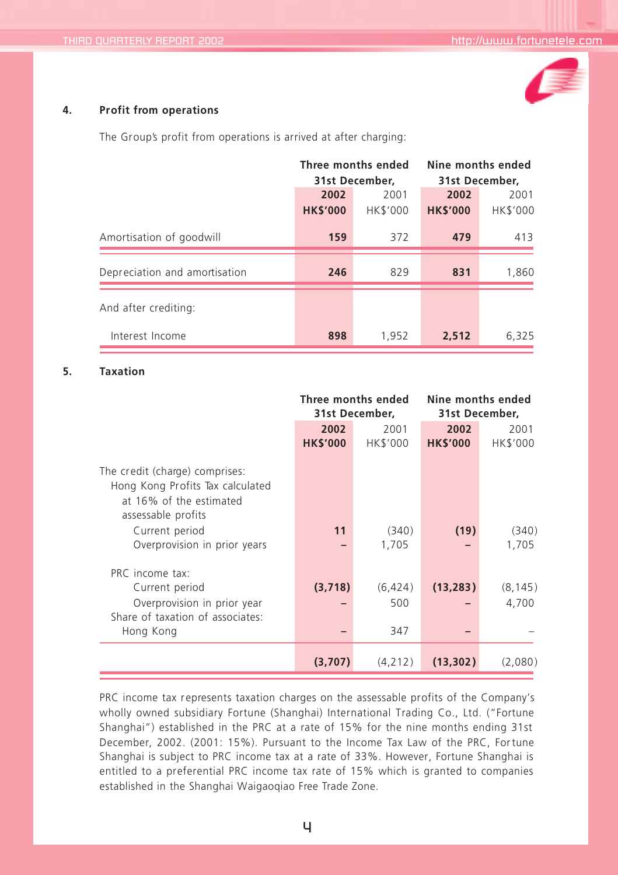

#### **4. Profit from operations**

The Group's profit from operations is arrived at after charging:

|                               | Three months ended<br>31st December. |          | Nine months ended<br>31st December, |          |
|-------------------------------|--------------------------------------|----------|-------------------------------------|----------|
|                               |                                      |          |                                     |          |
|                               | 2002                                 | 2001     | 2002                                | 2001     |
|                               | <b>HK\$'000</b>                      | HK\$'000 | <b>HK\$'000</b>                     | HK\$'000 |
| Amortisation of goodwill      | 159                                  | 372      | 479                                 | 413      |
| Depreciation and amortisation | 246                                  | 829      | 831                                 | 1,860    |
| And after crediting:          |                                      |          |                                     |          |
| Interest Income               | 898                                  | 1,952    | 2,512                               | 6,325    |

#### **5. Taxation**

|                                                                                                                     | Three months ended<br>31st December, |                | Nine months ended<br>31st December, |                   |
|---------------------------------------------------------------------------------------------------------------------|--------------------------------------|----------------|-------------------------------------|-------------------|
|                                                                                                                     | 2002                                 | 2001           | 2002                                | 2001              |
|                                                                                                                     | <b>HK\$'000</b>                      | HK\$'000       | <b>HK\$'000</b>                     | HK\$'000          |
| The credit (charge) comprises:<br>Hong Kong Profits Tax calculated<br>at 16% of the estimated<br>assessable profits |                                      |                |                                     |                   |
| Current period<br>Overprovision in prior years                                                                      | 11                                   | (340)<br>1,705 | (19)                                | (340)<br>1,705    |
| PRC income tax:<br>Current period<br>Overprovision in prior year<br>Share of taxation of associates:                | (3,718)                              | (6,424)<br>500 | (13, 283)                           | (8, 145)<br>4,700 |
| Hong Kong                                                                                                           |                                      | 347            |                                     |                   |
|                                                                                                                     | (3,707)                              | (4,212)        | (13, 302)                           | (2,080)           |

PRC income tax represents taxation charges on the assessable profits of the Company's wholly owned subsidiary Fortune (Shanghai) International Trading Co., Ltd. ("Fortune Shanghai") established in the PRC at a rate of 15% for the nine months ending 31st December, 2002. (2001: 15%). Pursuant to the Income Tax Law of the PRC, Fortune Shanghai is subject to PRC income tax at a rate of 33%. However, Fortune Shanghai is entitled to a preferential PRC income tax rate of 15% which is granted to companies established in the Shanghai Waigaoqiao Free Trade Zone.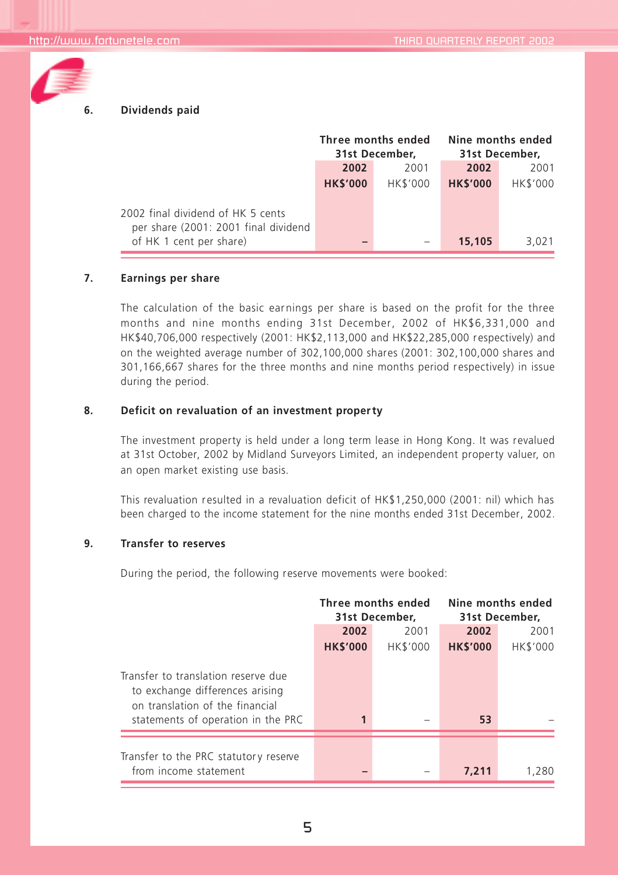

### **6. Dividends paid**

|                                                                           | Three months ended<br>31st December. |                 | Nine months ended<br>31st December. |                 |
|---------------------------------------------------------------------------|--------------------------------------|-----------------|-------------------------------------|-----------------|
|                                                                           | 2002                                 | 2001            | 2002                                | 2001            |
|                                                                           | <b>HK\$'000</b>                      | <b>HK\$'000</b> | <b>HK\$'000</b>                     | <b>HK\$'000</b> |
| 2002 final dividend of HK 5 cents<br>per share (2001: 2001 final dividend |                                      |                 |                                     |                 |
| of HK 1 cent per share)                                                   |                                      |                 | 15,105                              | 3.021           |

#### **7. Earnings per share**

The calculation of the basic earnings per share is based on the profit for the three months and nine months ending 31st December, 2002 of HK\$6,331,000 and HK\$40,706,000 respectively (2001: HK\$2,113,000 and HK\$22,285,000 respectively) and on the weighted average number of 302,100,000 shares (2001: 302,100,000 shares and 301,166,667 shares for the three months and nine months period respectively) in issue during the period.

#### **8. Deficit on revaluation of an investment proper ty**

The investment property is held under a long term lease in Hong Kong. It was revalued at 31st October, 2002 by Midland Surveyors Limited, an independent property valuer, on an open market existing use basis.

This revaluation resulted in a revaluation deficit of HK\$1,250,000 (2001: nil) which has been charged to the income statement for the nine months ended 31st December, 2002.

#### **9. Transfer to reserves**

During the period, the following reserve movements were booked:

|                                                                                                                                                 | Three months ended<br>31st December. |                 | Nine months ended<br>31st December. |                 |
|-------------------------------------------------------------------------------------------------------------------------------------------------|--------------------------------------|-----------------|-------------------------------------|-----------------|
|                                                                                                                                                 | 2002                                 | 2001            | 2002                                | 2001            |
|                                                                                                                                                 | <b>HK\$'000</b>                      | <b>HK\$'000</b> | <b>HK\$'000</b>                     | <b>HK\$'000</b> |
| Transfer to translation reserve due<br>to exchange differences arising<br>on translation of the financial<br>statements of operation in the PRC | 1                                    |                 | 53                                  |                 |
| Transfer to the PRC statutory reserve<br>from income statement                                                                                  |                                      |                 | 7.211                               | 1,280           |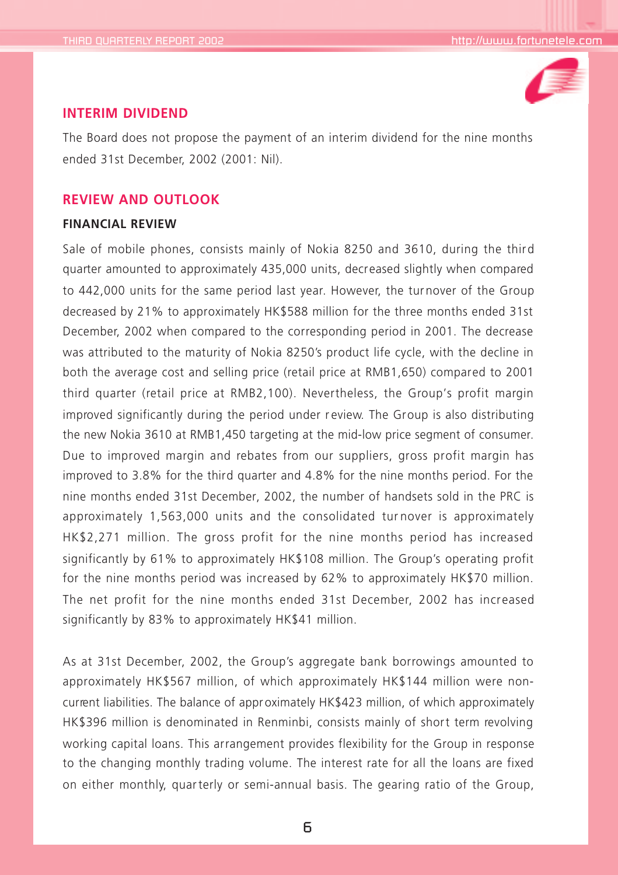

### **INTERIM DIVIDEND**

The Board does not propose the payment of an interim dividend for the nine months ended 31st December, 2002 (2001: Nil).

### **REVIEW AND OUTLOOK**

### **FINANCIAL REVIEW**

Sale of mobile phones, consists mainly of Nokia 8250 and 3610, during the third quarter amounted to approximately 435,000 units, decreased slightly when compared to 442,000 units for the same period last year. However, the tur nover of the Group decreased by 21% to approximately HK\$588 million for the three months ended 31st December, 2002 when compared to the corresponding period in 2001. The decrease was attributed to the maturity of Nokia 8250's product life cycle, with the decline in both the average cost and selling price (retail price at RMB1,650) compared to 2001 third quarter (retail price at RMB2,100). Nevertheless, the Group's profit margin improved significantly during the period under r eview. The Group is also distributing the new Nokia 3610 at RMB1,450 targeting at the mid-low price segment of consumer. Due to improved margin and rebates from our suppliers, gross profit margin has improved to 3.8% for the third quarter and 4.8% for the nine months period. For the nine months ended 31st December, 2002, the number of handsets sold in the PRC is approximately 1,563,000 units and the consolidated tur nover is approximately HK\$2,271 million. The gross profit for the nine months period has increased significantly by 61% to approximately HK\$108 million. The Group's operating profit for the nine months period was increased by 62% to approximately HK\$70 million. The net profit for the nine months ended 31st December, 2002 has increased significantly by 83% to approximately HK\$41 million.

As at 31st December, 2002, the Group's aggregate bank borrowings amounted to approximately HK\$567 million, of which approximately HK\$144 million were noncurrent liabilities. The balance of appr oximately HK\$423 million, of which approximately HK\$396 million is denominated in Renminbi, consists mainly of short term revolving working capital loans. This arrangement provides flexibility for the Group in response to the changing monthly trading volume. The interest rate for all the loans are fixed on either monthly, quar terly or semi-annual basis. The gearing ratio of the Group,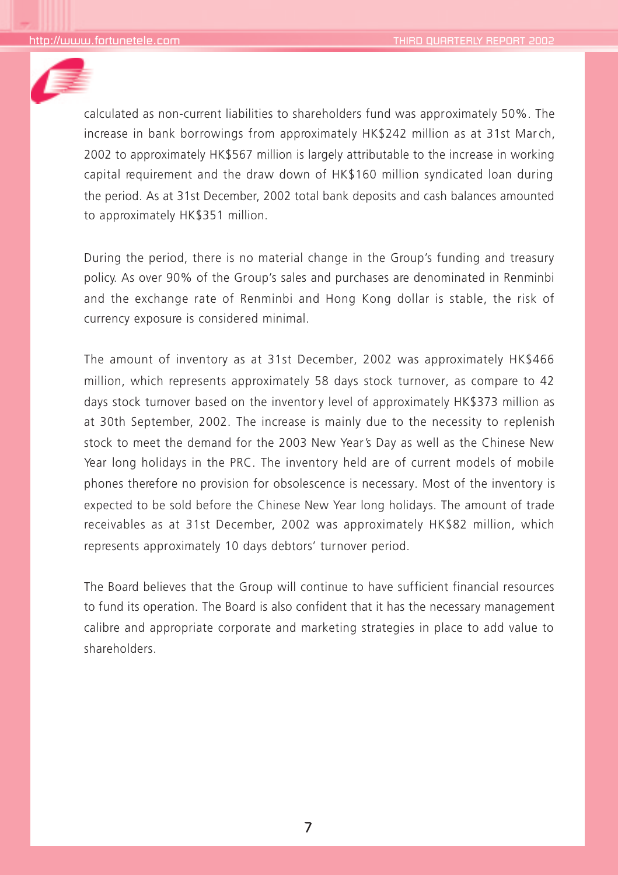

calculated as non-current liabilities to shareholders fund was approximately 50%. The increase in bank borrowings from approximately HK\$242 million as at 31st March, 2002 to approximately HK\$567 million is largely attributable to the increase in working capital requirement and the draw down of HK\$160 million syndicated loan during the period. As at 31st December, 2002 total bank deposits and cash balances amounted to approximately HK\$351 million.

During the period, there is no material change in the Group's funding and treasury policy. As over 90% of the Group's sales and purchases are denominated in Renminbi and the exchange rate of Renminbi and Hong Kong dollar is stable, the risk of currency exposure is considered minimal.

The amount of inventory as at 31st December, 2002 was approximately HK\$466 million, which represents approximately 58 days stock turnover, as compare to 42 days stock turnover based on the inventory level of approximately HK\$373 million as at 30th September, 2002. The increase is mainly due to the necessity to replenish stock to meet the demand for the 2003 New Year's Day as well as the Chinese New Year long holidays in the PRC. The inventory held are of current models of mobile phones therefore no provision for obsolescence is necessary. Most of the inventory is expected to be sold before the Chinese New Year long holidays. The amount of trade receivables as at 31st December, 2002 was approximately HK\$82 million, which represents approximately 10 days debtors' turnover period.

The Board believes that the Group will continue to have sufficient financial resources to fund its operation. The Board is also confident that it has the necessary management calibre and appropriate corporate and marketing strategies in place to add value to shareholders.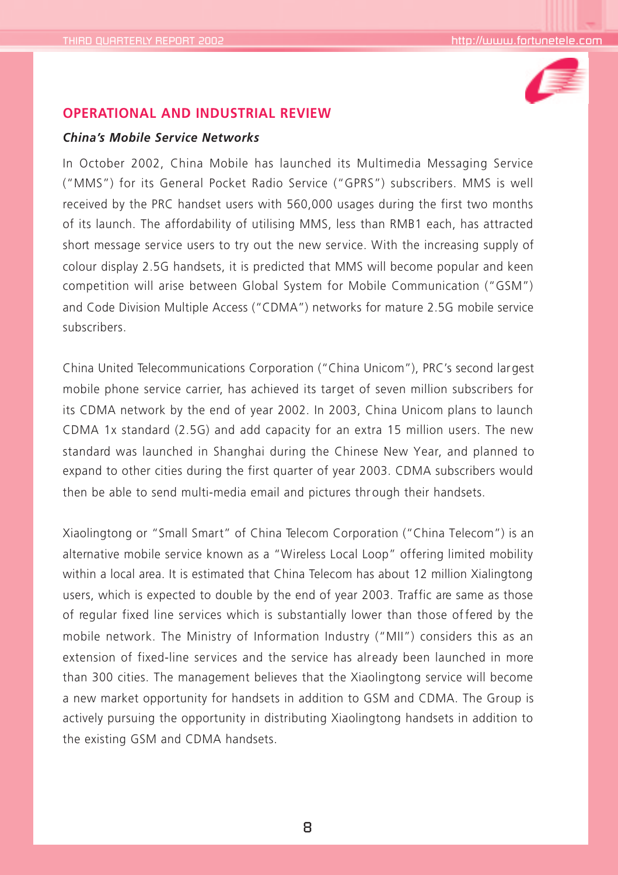

### **OPERATIONAL AND INDUSTRIAL REVIEW**

### *China's Mobile Service Networks*

In October 2002, China Mobile has launched its Multimedia Messaging Service ("MMS") for its General Pocket Radio Service ("GPRS") subscribers. MMS is well received by the PRC handset users with 560,000 usages during the first two months of its launch. The affordability of utilising MMS, less than RMB1 each, has attracted short message service users to try out the new service. With the increasing supply of colour display 2.5G handsets, it is predicted that MMS will become popular and keen competition will arise between Global System for Mobile Communication ("GSM") and Code Division Multiple Access ("CDMA") networks for mature 2.5G mobile service subscribers.

China United Telecommunications Corporation ("China Unicom"), PRC's second largest mobile phone service carrier, has achieved its target of seven million subscribers for its CDMA network by the end of year 2002. In 2003, China Unicom plans to launch CDMA 1x standard (2.5G) and add capacity for an extra 15 million users. The new standard was launched in Shanghai during the Chinese New Year, and planned to expand to other cities during the first quarter of year 2003. CDMA subscribers would then be able to send multi-media email and pictures through their handsets.

Xiaolingtong or "Small Smart" of China Telecom Corporation ("China Telecom") is an alternative mobile service known as a "Wireless Local Loop" offering limited mobility within a local area. It is estimated that China Telecom has about 12 million Xialingtong users, which is expected to double by the end of year 2003. Traffic are same as those of regular fixed line services which is substantially lower than those of fered by the mobile network. The Ministry of Information Industry ("MII") considers this as an extension of fixed-line services and the service has already been launched in more than 300 cities. The management believes that the Xiaolingtong service will become a new market opportunity for handsets in addition to GSM and CDMA. The Group is actively pursuing the opportunity in distributing Xiaolingtong handsets in addition to the existing GSM and CDMA handsets.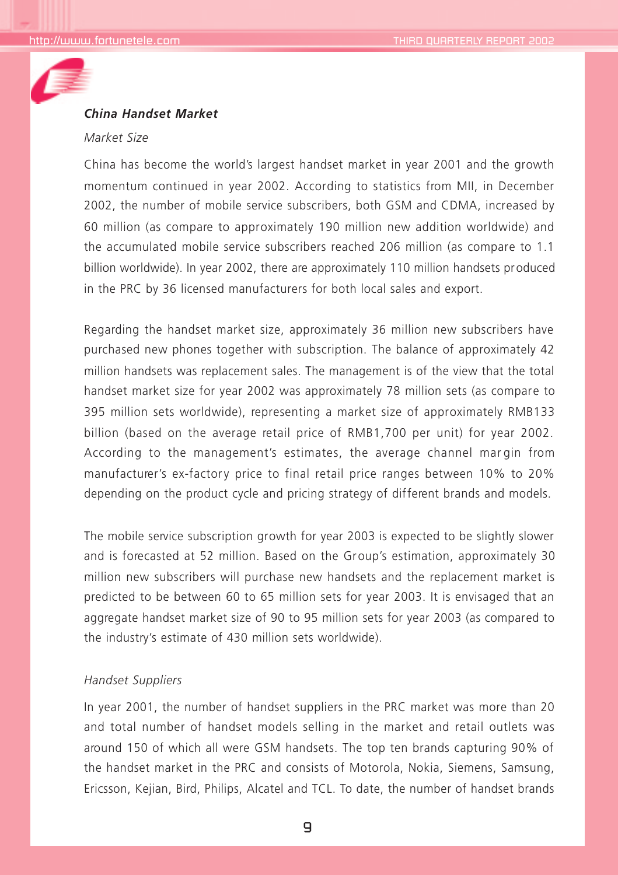

## *China Handset Market*

#### *Market Size*

China has become the world's largest handset market in year 2001 and the growth momentum continued in year 2002. According to statistics from MII, in December 2002, the number of mobile service subscribers, both GSM and CDMA, increased by 60 million (as compare to approximately 190 million new addition worldwide) and the accumulated mobile service subscribers reached 206 million (as compare to 1.1 billion worldwide). In year 2002, there are approximately 110 million handsets produced in the PRC by 36 licensed manufacturers for both local sales and export.

Regarding the handset market size, approximately 36 million new subscribers have purchased new phones together with subscription. The balance of approximately 42 million handsets was replacement sales. The management is of the view that the total handset market size for year 2002 was approximately 78 million sets (as compare to 395 million sets worldwide), representing a market size of approximately RMB133 billion (based on the average retail price of RMB1,700 per unit) for year 2002. According to the management's estimates, the average channel mar gin from manufacturer's ex-factory price to final retail price ranges between 10% to 20% depending on the product cycle and pricing strategy of different brands and models.

The mobile service subscription growth for year 2003 is expected to be slightly slower and is forecasted at 52 million. Based on the Group's estimation, approximately 30 million new subscribers will purchase new handsets and the replacement market is predicted to be between 60 to 65 million sets for year 2003. It is envisaged that an aggregate handset market size of 90 to 95 million sets for year 2003 (as compared to the industry's estimate of 430 million sets worldwide).

### *Handset Suppliers*

In year 2001, the number of handset suppliers in the PRC market was more than 20 and total number of handset models selling in the market and retail outlets was around 150 of which all were GSM handsets. The top ten brands capturing 90% of the handset market in the PRC and consists of Motorola, Nokia, Siemens, Samsung, Ericsson, Kejian, Bird, Philips, Alcatel and TCL. To date, the number of handset brands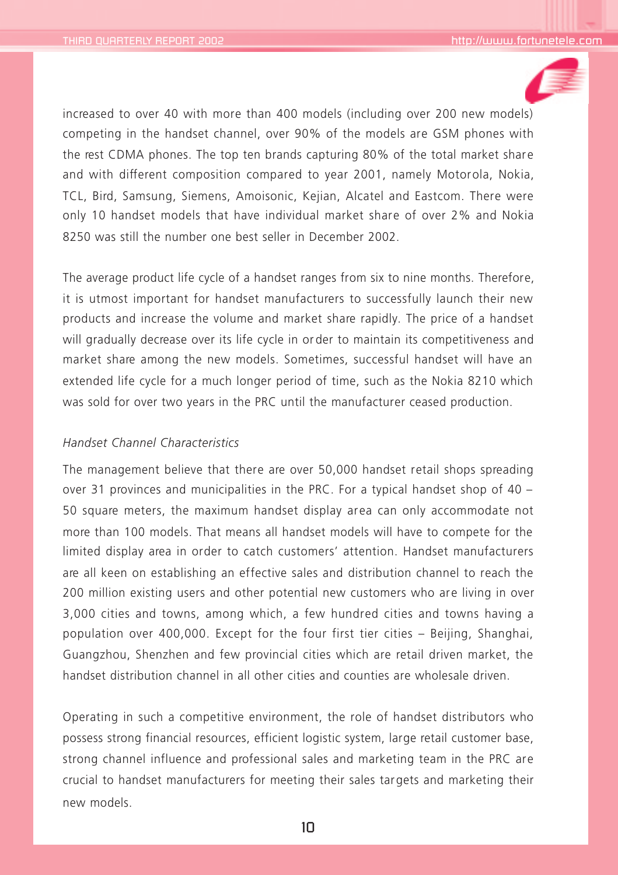

increased to over 40 with more than 400 models (including over 200 new models) competing in the handset channel, over 90% of the models are GSM phones with the rest CDMA phones. The top ten brands capturing 80% of the total market share and with different composition compared to year 2001, namely Motorola, Nokia, TCL, Bird, Samsung, Siemens, Amoisonic, Kejian, Alcatel and Eastcom. There were only 10 handset models that have individual market share of over 2% and Nokia 8250 was still the number one best seller in December 2002.

The average product life cycle of a handset ranges from six to nine months. Therefore, it is utmost important for handset manufacturers to successfully launch their new products and increase the volume and market share rapidly. The price of a handset will gradually decrease over its life cycle in or der to maintain its competitiveness and market share among the new models. Sometimes, successful handset will have an extended life cycle for a much longer period of time, such as the Nokia 8210 which was sold for over two years in the PRC until the manufacturer ceased production.

#### *Handset Channel Characteristics*

The management believe that there are over 50,000 handset retail shops spreading over 31 provinces and municipalities in the PRC. For a typical handset shop of 40 – 50 square meters, the maximum handset display area can only accommodate not more than 100 models. That means all handset models will have to compete for the limited display area in order to catch customers' attention. Handset manufacturers are all keen on establishing an effective sales and distribution channel to reach the 200 million existing users and other potential new customers who are living in over 3,000 cities and towns, among which, a few hundred cities and towns having a population over 400,000. Except for the four first tier cities – Beijing, Shanghai, Guangzhou, Shenzhen and few provincial cities which are retail driven market, the handset distribution channel in all other cities and counties are wholesale driven.

Operating in such a competitive environment, the role of handset distributors who possess strong financial resources, efficient logistic system, large retail customer base, strong channel influence and professional sales and marketing team in the PRC are crucial to handset manufacturers for meeting their sales targets and marketing their new models.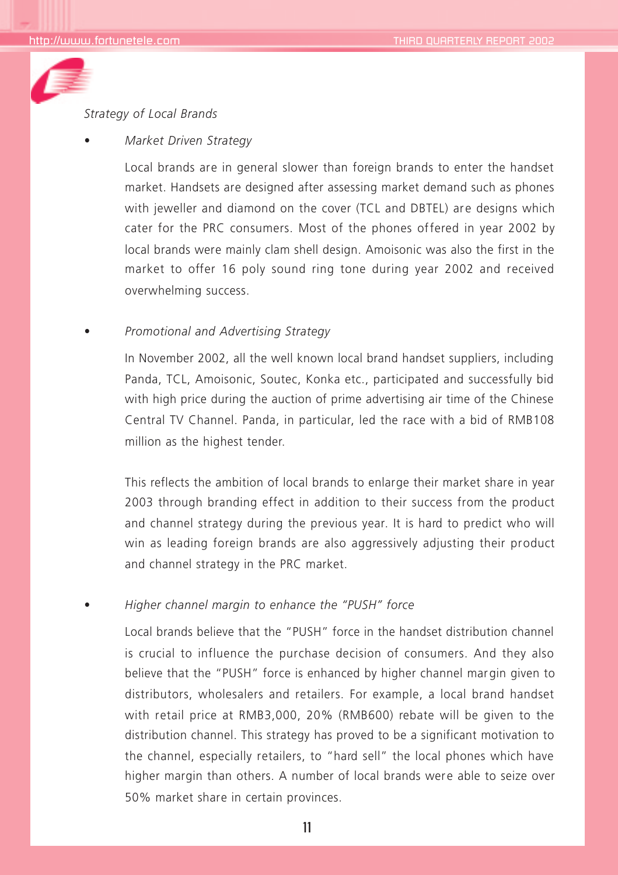

#### *Strategy of Local Brands*

*• Market Driven Strategy*

Local brands are in general slower than foreign brands to enter the handset market. Handsets are designed after assessing market demand such as phones with jeweller and diamond on the cover (TCL and DBTEL) are designs which cater for the PRC consumers. Most of the phones offered in year 2002 by local brands were mainly clam shell design. Amoisonic was also the first in the market to offer 16 poly sound ring tone during year 2002 and received overwhelming success.

*• Promotional and Advertising Strategy*

In November 2002, all the well known local brand handset suppliers, including Panda, TCL, Amoisonic, Soutec, Konka etc., participated and successfully bid with high price during the auction of prime advertising air time of the Chinese Central TV Channel. Panda, in particular, led the race with a bid of RMB108 million as the highest tender.

This reflects the ambition of local brands to enlarge their market share in year 2003 through branding effect in addition to their success from the product and channel strategy during the previous year. It is hard to predict who will win as leading foreign brands are also aggressively adjusting their product and channel strategy in the PRC market.

*• Higher channel margin to enhance the "PUSH" force*

Local brands believe that the "PUSH" force in the handset distribution channel is crucial to influence the purchase decision of consumers. And they also believe that the "PUSH" force is enhanced by higher channel margin given to distributors, wholesalers and retailers. For example, a local brand handset with retail price at RMB3,000, 20% (RMB600) rebate will be given to the distribution channel. This strategy has proved to be a significant motivation to the channel, especially retailers, to "hard sell" the local phones which have higher margin than others. A number of local brands were able to seize over 50% market share in certain provinces.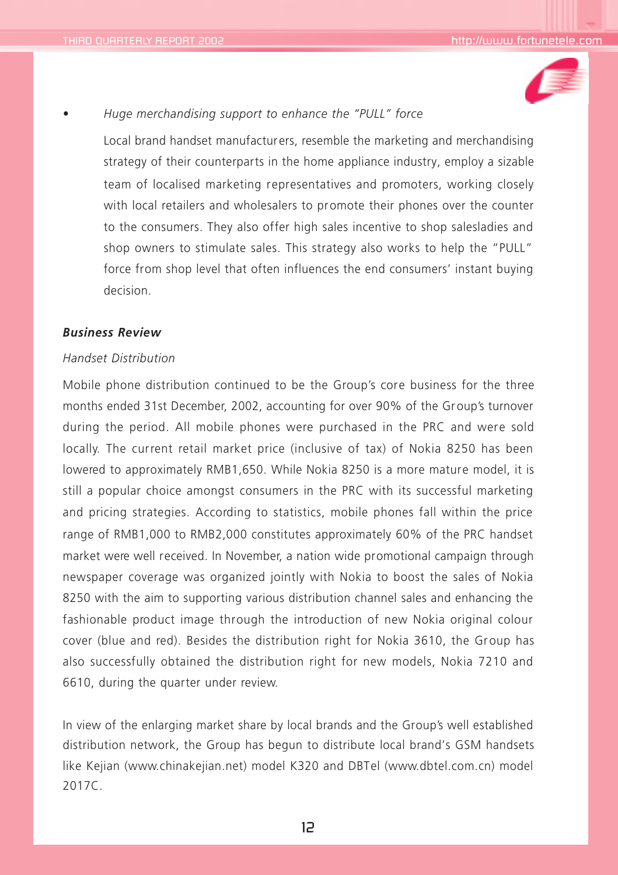

## *• Huge merchandising support to enhance the "PULL" force*

Local brand handset manufacturers, resemble the marketing and merchandising strategy of their counterparts in the home appliance industry, employ a sizable team of localised marketing representatives and promoters, working closely with local retailers and wholesalers to promote their phones over the counter to the consumers. They also offer high sales incentive to shop salesladies and shop owners to stimulate sales. This strategy also works to help the "PULL" force from shop level that often influences the end consumers' instant buying decision.

### *Business Review*

#### *Handset Distribution*

Mobile phone distribution continued to be the Group's core business for the three months ended 31st December, 2002, accounting for over 90% of the Group's turnover during the period. All mobile phones were purchased in the PRC and were sold locally. The current retail market price (inclusive of tax) of Nokia 8250 has been lowered to approximately RMB1,650. While Nokia 8250 is a more mature model, it is still a popular choice amongst consumers in the PRC with its successful marketing and pricing strategies. According to statistics, mobile phones fall within the price range of RMB1,000 to RMB2,000 constitutes approximately 60% of the PRC handset market were well received. In November, a nation wide promotional campaign through newspaper coverage was organized jointly with Nokia to boost the sales of Nokia 8250 with the aim to supporting various distribution channel sales and enhancing the fashionable product image through the introduction of new Nokia original colour cover (blue and red). Besides the distribution right for Nokia 3610, the Group has also successfully obtained the distribution right for new models, Nokia 7210 and 6610, during the quarter under review.

In view of the enlarging market share by local brands and the Group's well established distribution network, the Group has begun to distribute local brand's GSM handsets like Kejian (www.chinakejian.net) model K320 and DBTel (www.dbtel.com.cn) model 2017C.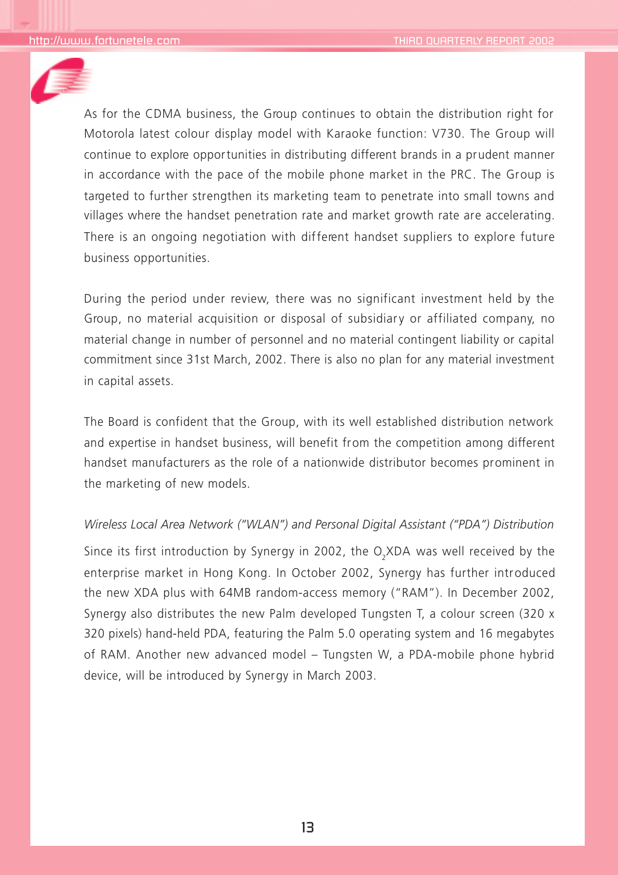

As for the CDMA business, the Group continues to obtain the distribution right for Motorola latest colour display model with Karaoke function: V730. The Group will continue to explore opportunities in distributing different brands in a prudent manner in accordance with the pace of the mobile phone market in the PRC. The Group is targeted to further strengthen its marketing team to penetrate into small towns and villages where the handset penetration rate and market growth rate are accelerating. There is an ongoing negotiation with different handset suppliers to explore future business opportunities.

During the period under review, there was no significant investment held by the Group, no material acquisition or disposal of subsidiary or affiliated company, no material change in number of personnel and no material contingent liability or capital commitment since 31st March, 2002. There is also no plan for any material investment in capital assets.

The Board is confident that the Group, with its well established distribution network and expertise in handset business, will benefit from the competition among different handset manufacturers as the role of a nationwide distributor becomes prominent in the marketing of new models.

#### *Wireless Local Area Network ("WLAN") and Personal Digital Assistant ("PDA") Distribution*

Since its first introduction by Synergy in 2002, the O<sub>2</sub>XDA was well received by the enterprise market in Hong Kong. In October 2002, Synergy has further introduced the new XDA plus with 64MB random-access memory ("RAM"). In December 2002, Synergy also distributes the new Palm developed Tungsten T, a colour screen (320 x 320 pixels) hand-held PDA, featuring the Palm 5.0 operating system and 16 megabytes of RAM. Another new advanced model – Tungsten W, a PDA-mobile phone hybrid device, will be introduced by Synergy in March 2003.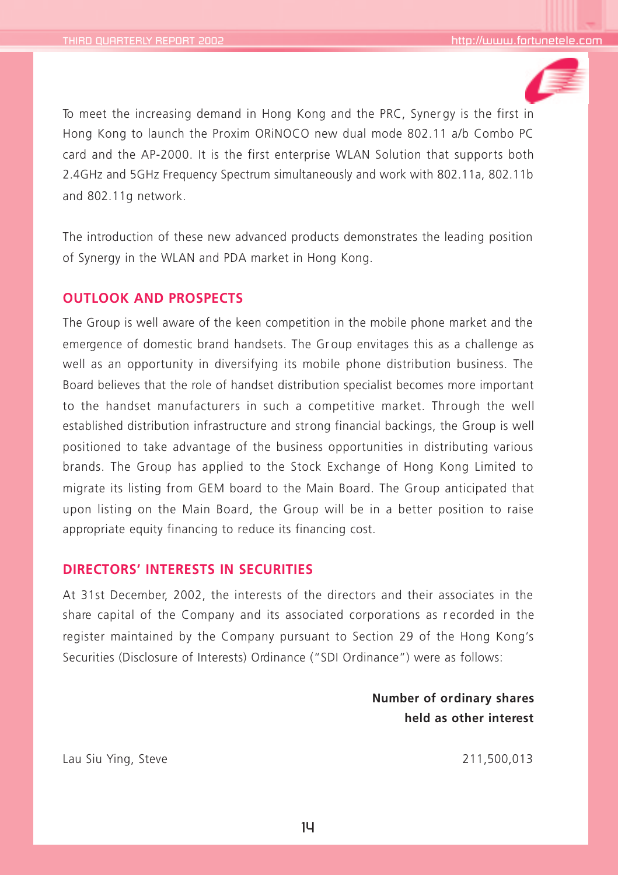

To meet the increasing demand in Hong Kong and the PRC, Syner gy is the first in Hong Kong to launch the Proxim ORiNOCO new dual mode 802.11 a/b Combo PC card and the AP-2000. It is the first enterprise WLAN Solution that supports both 2.4GHz and 5GHz Frequency Spectrum simultaneously and work with 802.11a, 802.11b and 802.11g network.

The introduction of these new advanced products demonstrates the leading position of Synergy in the WLAN and PDA market in Hong Kong.

## **OUTLOOK AND PROSPECTS**

The Group is well aware of the keen competition in the mobile phone market and the emergence of domestic brand handsets. The Gr oup envitages this as a challenge as well as an opportunity in diversifying its mobile phone distribution business. The Board believes that the role of handset distribution specialist becomes more important to the handset manufacturers in such a competitive market. Through the well established distribution infrastructure and strong financial backings, the Group is well positioned to take advantage of the business opportunities in distributing various brands. The Group has applied to the Stock Exchange of Hong Kong Limited to migrate its listing from GEM board to the Main Board. The Group anticipated that upon listing on the Main Board, the Group will be in a better position to raise appropriate equity financing to reduce its financing cost.

## **DIRECTORS' INTERESTS IN SECURITIES**

At 31st December, 2002, the interests of the directors and their associates in the share capital of the Company and its associated corporations as r ecorded in the register maintained by the Company pursuant to Section 29 of the Hong Kong's Securities (Disclosure of Interests) Ordinance ("SDI Ordinance") were as follows:

> **Number of ordinary shares held as other interest**

Lau Siu Ying, Steve 211,500,013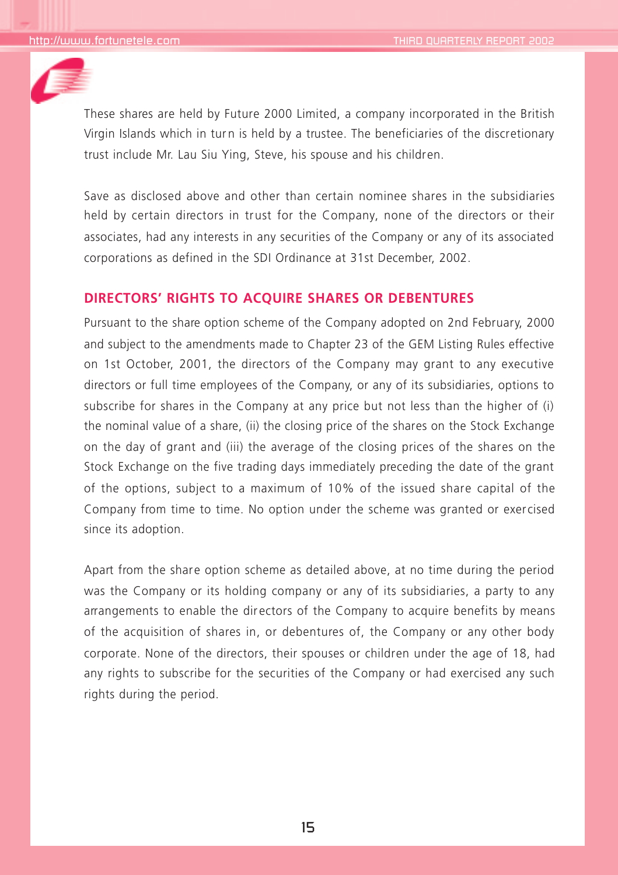

These shares are held by Future 2000 Limited, a company incorporated in the British Virgin Islands which in turn is held by a trustee. The beneficiaries of the discretionary trust include Mr. Lau Siu Ying, Steve, his spouse and his children.

Save as disclosed above and other than certain nominee shares in the subsidiaries held by certain directors in trust for the Company, none of the directors or their associates, had any interests in any securities of the Company or any of its associated corporations as defined in the SDI Ordinance at 31st December, 2002.

## **DIRECTORS' RIGHTS TO ACQUIRE SHARES OR DEBENTURES**

Pursuant to the share option scheme of the Company adopted on 2nd February, 2000 and subject to the amendments made to Chapter 23 of the GEM Listing Rules effective on 1st October, 2001, the directors of the Company may grant to any executive directors or full time employees of the Company, or any of its subsidiaries, options to subscribe for shares in the Company at any price but not less than the higher of (i) the nominal value of a share, (ii) the closing price of the shares on the Stock Exchange on the day of grant and (iii) the average of the closing prices of the shares on the Stock Exchange on the five trading days immediately preceding the date of the grant of the options, subject to a maximum of 10% of the issued share capital of the Company from time to time. No option under the scheme was granted or exercised since its adoption.

Apart from the share option scheme as detailed above, at no time during the period was the Company or its holding company or any of its subsidiaries, a party to any arrangements to enable the dir ectors of the Company to acquire benefits by means of the acquisition of shares in, or debentures of, the Company or any other body corporate. None of the directors, their spouses or children under the age of 18, had any rights to subscribe for the securities of the Company or had exercised any such rights during the period.